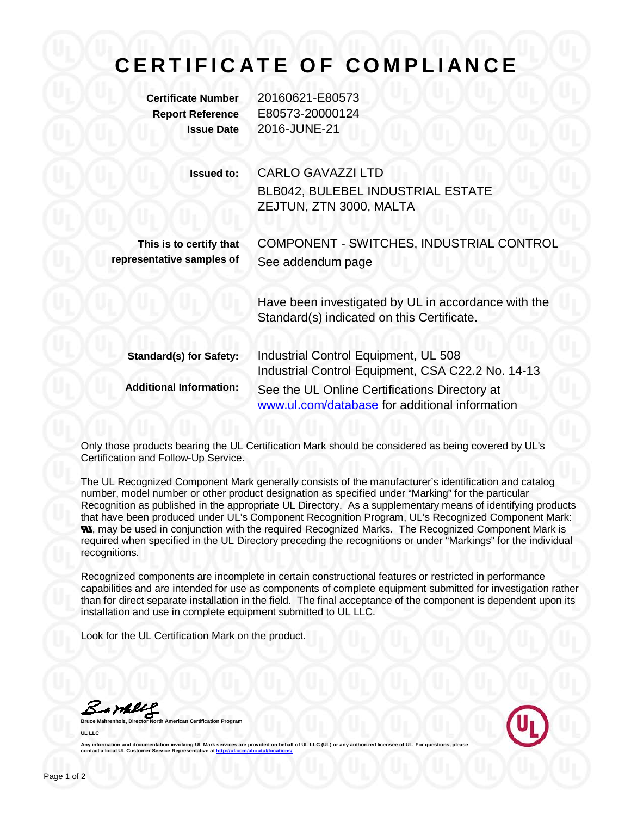## **CERTIFICATE OF COMPLIANCE**

**Certificate Number** 20160621-E80573 **Report Reference** E80573-20000124 **Issue Date** 2016-JUNE-21

> **Issued to:** CARLO GAVAZZI LTD BLB042, BULEBEL INDUSTRIAL ESTATE ZEJTUN, ZTN 3000, MALTA

**This is to certify that representative samples of** COMPONENT - SWITCHES, INDUSTRIAL CONTROL See addendum page

Have been investigated by UL in accordance with the Standard(s) indicated on this Certificate.

| <b>Standard(s) for Safety:</b> | Industrial Control Equipment, UL 508                                                            |
|--------------------------------|-------------------------------------------------------------------------------------------------|
|                                | Industrial Control Equipment, CSA C22.2 No. 14-13                                               |
| <b>Additional Information:</b> | See the UL Online Certifications Directory at<br>www.ul.com/database for additional information |

Only those products bearing the UL Certification Mark should be considered as being covered by UL's Certification and Follow-Up Service.

The UL Recognized Component Mark generally consists of the manufacturer's identification and catalog number, model number or other product designation as specified under "Marking" for the particular Recognition as published in the appropriate UL Directory. As a supplementary means of identifying products that have been produced under UL's Component Recognition Program, UL's Recognized Component Mark: **N.** may be used in conjunction with the required Recognized Marks. The Recognized Component Mark is required when specified in the UL Directory preceding the recognitions or under "Markings" for the individual recognitions.

Recognized components are incomplete in certain constructional features or restricted in performance capabilities and are intended for use as components of complete equipment submitted for investigation rather than for direct separate installation in the field. The final acceptance of the component is dependent upon its installation and use in complete equipment submitted to UL LLC.

Look for the UL Certification Mark on the product.

Bamell

**American Certification Program UL LLC**



Any information and documentation involving UL Mark services are provided on behalf of UL LLC (UL) or any **contact a local UL Customer Service Representative a[t http://ul.com/aboutul/locations/](http://ul.com/aboutul/locations/)**